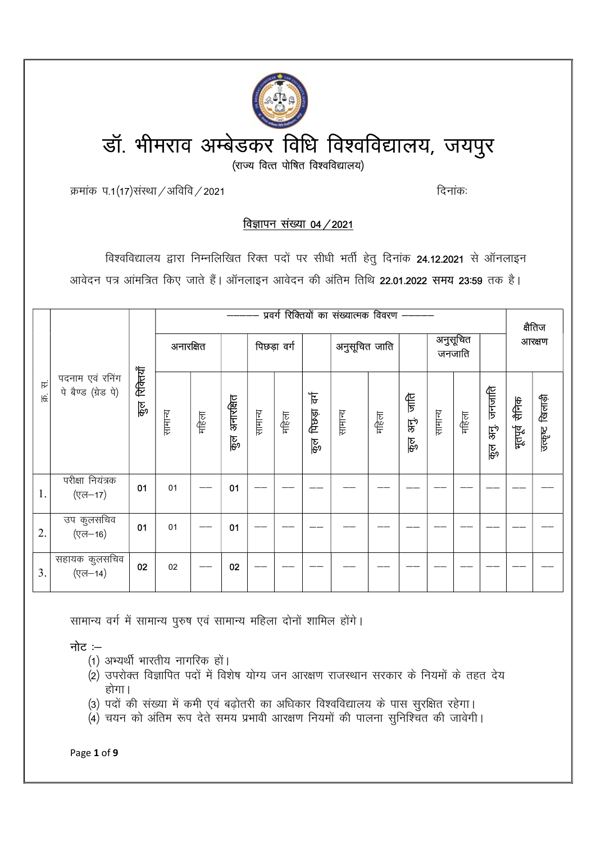

क्रमांक प.1(17)संस्था / अविवि / 2021

दिनांकः

# विज्ञापन संख्या 04 / 2021

विश्वविद्यालय द्वारा निम्नलिखित रिक्त पदों पर सीधी भर्ती हेतु दिनांक 24.12.2021 से ऑनलाइन आवेदन पत्र आंमत्रित किए जाते हैं। ऑनलाइन आवेदन की अंतिम तिथि 22.01.2022 समय 23:59 तक है।

| 戌<br>स्रि |                                        |                | प्रवर्ग रिक्तियों का संख्यात्मक विवरण ——— |       |                   |         |       |                                         |         |       | क्षैतिज                   |         |       |                      |                |                  |               |  |  |  |                    |  |  |        |
|-----------|----------------------------------------|----------------|-------------------------------------------|-------|-------------------|---------|-------|-----------------------------------------|---------|-------|---------------------------|---------|-------|----------------------|----------------|------------------|---------------|--|--|--|--------------------|--|--|--------|
|           |                                        | रिकियाँ<br>कुल |                                           |       |                   |         |       |                                         |         |       | अनारक्षित                 |         |       |                      | पिछड़ा वर्ग    |                  | अनुसूचित जाति |  |  |  | अनुसूचित<br>जनजाति |  |  | आरक्षण |
|           | पदनाम एवं रनिंग<br>पे बैण्ड (ग्रेड पे) |                | सामान्य                                   | महिला | अनारक्षित<br>ক্তু | सामान्य | महिला | $\overline{\mathbf{F}}$<br>पिछडा<br>हु० | सामान्य | महिला | 作<br>同<br>को<br>अ<br>कुरु | सामान्य | महिला | जनजति<br>क्तु<br>कुल | भूतपूर्व सैनिक | उत्कृष्ट खिलाड़ी |               |  |  |  |                    |  |  |        |
| 1.        | परीक्षा नियंत्रक<br>(एल-17)            | 01             | 01                                        |       | 01                |         |       |                                         |         |       |                           |         |       |                      |                |                  |               |  |  |  |                    |  |  |        |
| 2.        | उप कुलसचिव<br>(एल-16)                  | 01             | 01                                        |       | 01                |         |       |                                         |         |       |                           |         |       |                      |                |                  |               |  |  |  |                    |  |  |        |
| 3.        | सहायक कुलसचिव<br>$($ एल-14)            | 02             | 02                                        |       | 02                |         |       |                                         |         |       |                           |         |       |                      |                |                  |               |  |  |  |                    |  |  |        |

सामान्य वर्ग में सामान्य पुरुष एवं सामान्य महिला दोनों शामिल होंगे।

नोट $:=$ 

- (1) अभ्यर्थी भारतीय नागरिक हों।
- (2) उपरोक्त विज्ञापित पदों में विशेष योग्य जन आरक्षण राजस्थान सरकार के नियमों के तहत देय होगा।
- (3) पदों की संख्या में कमी एवं बढ़ोतरी का अधिकार विश्वविद्यालय के पास सुरक्षित रहेगा।
- (4) चयन को अंतिम रूप देते समय प्रभावी आरक्षण नियमों की पालना सनिश्चित की जावेगी।

Page 1 of 9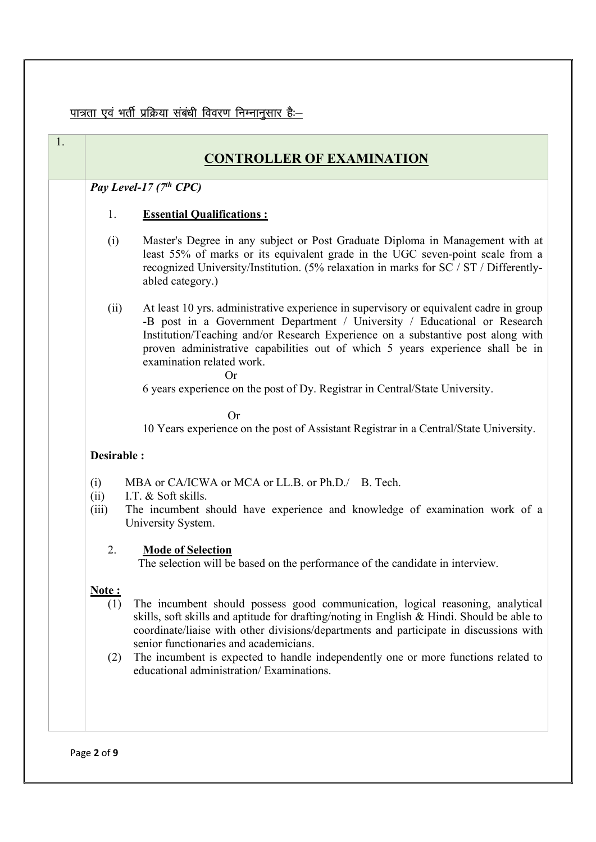# <u>पात्रता एवं भर्ती प्रक्रिया संबंधी विवरण निम्नानुसार है:–</u>

|                            | <b>CONTROLLER OF EXAMINATION</b>                                                                                                                                                                                                                                                                                                                                                                                                                    |  |  |  |  |  |  |  |
|----------------------------|-----------------------------------------------------------------------------------------------------------------------------------------------------------------------------------------------------------------------------------------------------------------------------------------------------------------------------------------------------------------------------------------------------------------------------------------------------|--|--|--|--|--|--|--|
| Pay Level-17 $(7th$ CPC)   |                                                                                                                                                                                                                                                                                                                                                                                                                                                     |  |  |  |  |  |  |  |
| 1.                         | <b>Essential Qualifications:</b>                                                                                                                                                                                                                                                                                                                                                                                                                    |  |  |  |  |  |  |  |
| (i)                        | Master's Degree in any subject or Post Graduate Diploma in Management with at<br>least 55% of marks or its equivalent grade in the UGC seven-point scale from a<br>recognized University/Institution. (5% relaxation in marks for SC / ST / Differently-<br>abled category.)                                                                                                                                                                        |  |  |  |  |  |  |  |
| (ii)                       | At least 10 yrs. administrative experience in supervisory or equivalent cadre in group<br>-B post in a Government Department / University / Educational or Research<br>Institution/Teaching and/or Research Experience on a substantive post along with<br>proven administrative capabilities out of which 5 years experience shall be in<br>examination related work.<br><b>Or</b>                                                                 |  |  |  |  |  |  |  |
|                            | 6 years experience on the post of Dy. Registrar in Central/State University.                                                                                                                                                                                                                                                                                                                                                                        |  |  |  |  |  |  |  |
|                            | <b>Or</b><br>10 Years experience on the post of Assistant Registrar in a Central/State University.                                                                                                                                                                                                                                                                                                                                                  |  |  |  |  |  |  |  |
| Desirable:                 |                                                                                                                                                                                                                                                                                                                                                                                                                                                     |  |  |  |  |  |  |  |
| (i)<br>(ii)<br>(iii)       | MBA or CA/ICWA or MCA or LL.B. or Ph.D./ B. Tech.<br>I.T. & Soft skills.<br>The incumbent should have experience and knowledge of examination work of a<br>University System.                                                                                                                                                                                                                                                                       |  |  |  |  |  |  |  |
| 2.                         | <b>Mode of Selection</b><br>The selection will be based on the performance of the candidate in interview.                                                                                                                                                                                                                                                                                                                                           |  |  |  |  |  |  |  |
| <u>Note:</u><br>(1)<br>(2) | The incumbent should possess good communication, logical reasoning, analytical<br>skills, soft skills and aptitude for drafting/noting in English & Hindi. Should be able to<br>coordinate/liaise with other divisions/departments and participate in discussions with<br>senior functionaries and academicians.<br>The incumbent is expected to handle independently one or more functions related to<br>educational administration/ Examinations. |  |  |  |  |  |  |  |

Page 2 of 9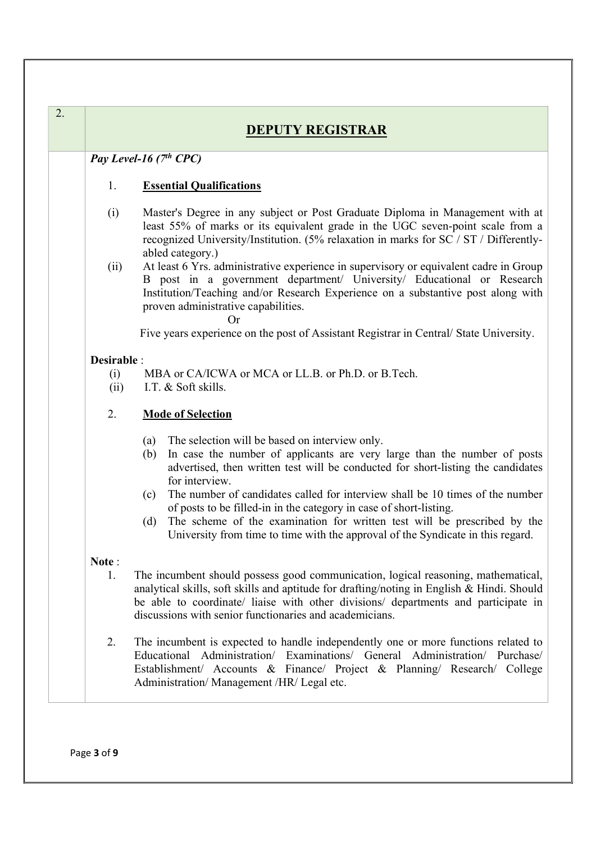| 2. |             | <b>DEPUTY REGISTRAR</b>                                                                                                                                                                                                                                                                                                          |  |  |  |  |
|----|-------------|----------------------------------------------------------------------------------------------------------------------------------------------------------------------------------------------------------------------------------------------------------------------------------------------------------------------------------|--|--|--|--|
|    |             | Pay Level-16 $(7th$ CPC)                                                                                                                                                                                                                                                                                                         |  |  |  |  |
|    | 1.          | <b>Essential Qualifications</b>                                                                                                                                                                                                                                                                                                  |  |  |  |  |
|    | (i)         | Master's Degree in any subject or Post Graduate Diploma in Management with at<br>least 55% of marks or its equivalent grade in the UGC seven-point scale from a<br>recognized University/Institution. (5% relaxation in marks for SC / ST / Differently-<br>abled category.)                                                     |  |  |  |  |
|    | (ii)        | At least 6 Yrs. administrative experience in supervisory or equivalent cadre in Group<br>B post in a government department/ University/ Educational or Research<br>Institution/Teaching and/or Research Experience on a substantive post along with<br>proven administrative capabilities.<br>Оr                                 |  |  |  |  |
|    |             | Five years experience on the post of Assistant Registrar in Central/ State University.                                                                                                                                                                                                                                           |  |  |  |  |
|    | Desirable : |                                                                                                                                                                                                                                                                                                                                  |  |  |  |  |
|    | (i)         | MBA or CA/ICWA or MCA or LL.B. or Ph.D. or B.Tech.                                                                                                                                                                                                                                                                               |  |  |  |  |
|    | (ii)        | I.T. & Soft skills.                                                                                                                                                                                                                                                                                                              |  |  |  |  |
|    | 2.          | <b>Mode of Selection</b>                                                                                                                                                                                                                                                                                                         |  |  |  |  |
|    |             | The selection will be based on interview only.<br>(a)<br>In case the number of applicants are very large than the number of posts<br>(b)<br>advertised, then written test will be conducted for short-listing the candidates<br>for interview.                                                                                   |  |  |  |  |
|    |             | The number of candidates called for interview shall be 10 times of the number<br>(c)<br>of posts to be filled-in in the category in case of short-listing.                                                                                                                                                                       |  |  |  |  |
|    |             | The scheme of the examination for written test will be prescribed by the<br>(d)<br>University from time to time with the approval of the Syndicate in this regard.                                                                                                                                                               |  |  |  |  |
|    | Note:       |                                                                                                                                                                                                                                                                                                                                  |  |  |  |  |
|    | 1.          | The incumbent should possess good communication, logical reasoning, mathematical,<br>analytical skills, soft skills and aptitude for drafting/noting in English & Hindi. Should<br>be able to coordinate/ liaise with other divisions/ departments and participate in<br>discussions with senior functionaries and academicians. |  |  |  |  |
|    | 2.          | The incumbent is expected to handle independently one or more functions related to<br>Educational Administration/ Examinations/ General Administration/ Purchase/<br>Establishment/ Accounts & Finance/ Project & Planning/ Research/ College<br>Administration/Management /HR/ Legal etc.                                       |  |  |  |  |

Page 3 of 9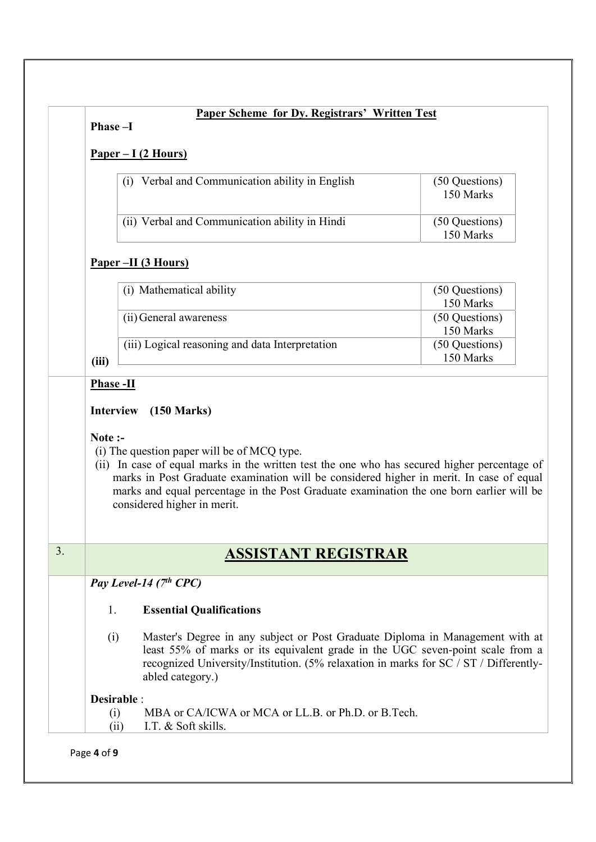| Paper Scheme for Dy. Registrars' Written Test<br>Phase-I |                                                                                                                                                                                                                                                                                                                                                                   |                             |  |  |  |  |  |  |  |
|----------------------------------------------------------|-------------------------------------------------------------------------------------------------------------------------------------------------------------------------------------------------------------------------------------------------------------------------------------------------------------------------------------------------------------------|-----------------------------|--|--|--|--|--|--|--|
|                                                          | $Paper - I (2 Hours)$                                                                                                                                                                                                                                                                                                                                             |                             |  |  |  |  |  |  |  |
|                                                          | (i) Verbal and Communication ability in English                                                                                                                                                                                                                                                                                                                   | (50 Questions)<br>150 Marks |  |  |  |  |  |  |  |
|                                                          | (ii) Verbal and Communication ability in Hindi                                                                                                                                                                                                                                                                                                                    | (50 Questions)<br>150 Marks |  |  |  |  |  |  |  |
|                                                          | <u>Paper –II (3 Hours)</u>                                                                                                                                                                                                                                                                                                                                        |                             |  |  |  |  |  |  |  |
|                                                          | (i) Mathematical ability                                                                                                                                                                                                                                                                                                                                          | (50 Questions)<br>150 Marks |  |  |  |  |  |  |  |
|                                                          | (ii) General awareness                                                                                                                                                                                                                                                                                                                                            | (50 Questions)<br>150 Marks |  |  |  |  |  |  |  |
| (iii)                                                    | (iii) Logical reasoning and data Interpretation                                                                                                                                                                                                                                                                                                                   | (50 Questions)<br>150 Marks |  |  |  |  |  |  |  |
|                                                          | <b>Phase -II</b>                                                                                                                                                                                                                                                                                                                                                  |                             |  |  |  |  |  |  |  |
| <b>Interview</b><br>Note :-                              | $(150 \text{ Marks})$                                                                                                                                                                                                                                                                                                                                             |                             |  |  |  |  |  |  |  |
|                                                          | (i) The question paper will be of MCQ type.<br>(ii) In case of equal marks in the written test the one who has secured higher percentage of<br>marks in Post Graduate examination will be considered higher in merit. In case of equal<br>marks and equal percentage in the Post Graduate examination the one born earlier will be<br>considered higher in merit. |                             |  |  |  |  |  |  |  |
|                                                          | <b>ASSISTANT REGISTRAR</b>                                                                                                                                                                                                                                                                                                                                        |                             |  |  |  |  |  |  |  |
|                                                          | Pay Level-14 (7th CPC)                                                                                                                                                                                                                                                                                                                                            |                             |  |  |  |  |  |  |  |
| 1.                                                       | <b>Essential Qualifications</b>                                                                                                                                                                                                                                                                                                                                   |                             |  |  |  |  |  |  |  |
| (i)                                                      | Master's Degree in any subject or Post Graduate Diploma in Management with at<br>least 55% of marks or its equivalent grade in the UGC seven-point scale from a<br>recognized University/Institution. (5% relaxation in marks for SC / ST / Differently-<br>abled category.)                                                                                      |                             |  |  |  |  |  |  |  |
| (i)                                                      | Desirable :<br>MBA or CA/ICWA or MCA or LL.B. or Ph.D. or B.Tech.                                                                                                                                                                                                                                                                                                 |                             |  |  |  |  |  |  |  |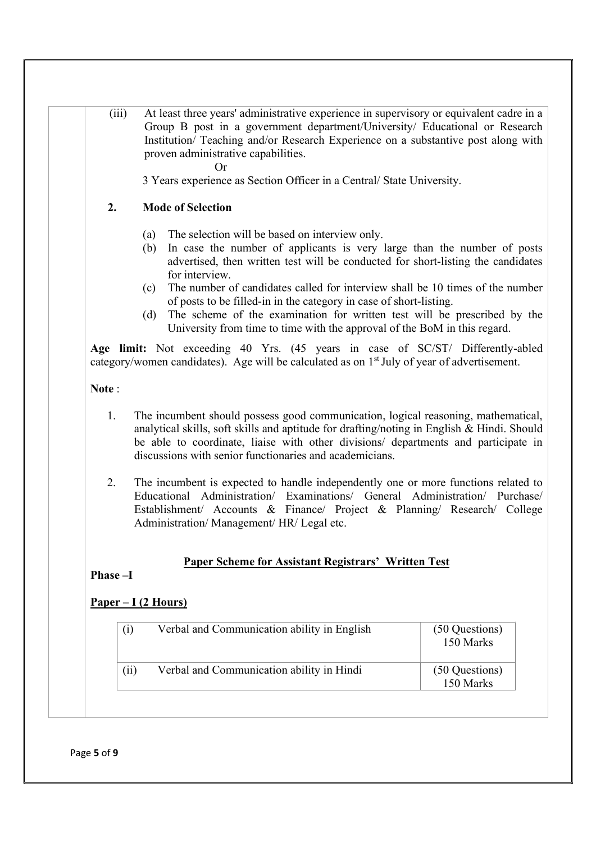(iii) At least three years' administrative experience in supervisory or equivalent cadre in a Group B post in a government department/University/ Educational or Research Institution/ Teaching and/or Research Experience on a substantive post along with proven administrative capabilities.

Or

3 Years experience as Section Officer in a Central/ State University.

#### 2. Mode of Selection

- (a) The selection will be based on interview only.
- (b) In case the number of applicants is very large than the number of posts advertised, then written test will be conducted for short-listing the candidates for interview.
- (c) The number of candidates called for interview shall be 10 times of the number of posts to be filled-in in the category in case of short-listing.
- (d) The scheme of the examination for written test will be prescribed by the University from time to time with the approval of the BoM in this regard.

Age limit: Not exceeding 40 Yrs. (45 years in case of SC/ST/ Differently-abled category/women candidates). Age will be calculated as on 1st July of year of advertisement.

Note :

- 1. The incumbent should possess good communication, logical reasoning, mathematical, analytical skills, soft skills and aptitude for drafting/noting in English & Hindi. Should be able to coordinate, liaise with other divisions/ departments and participate in discussions with senior functionaries and academicians.
- 2. The incumbent is expected to handle independently one or more functions related to Educational Administration/ Examinations/ General Administration/ Purchase/ Establishment/ Accounts & Finance/ Project & Planning/ Research/ College Administration/ Management/ HR/ Legal etc.

#### Paper Scheme for Assistant Registrars' Written Test

Phase –I

### Paper – I (2 Hours)

| $\rm(i)$ | Verbal and Communication ability in English | (50 Questions)<br>150 Marks |
|----------|---------------------------------------------|-----------------------------|
| (ii)     | Verbal and Communication ability in Hindi   | (50 Questions)<br>150 Marks |

Page 5 of 9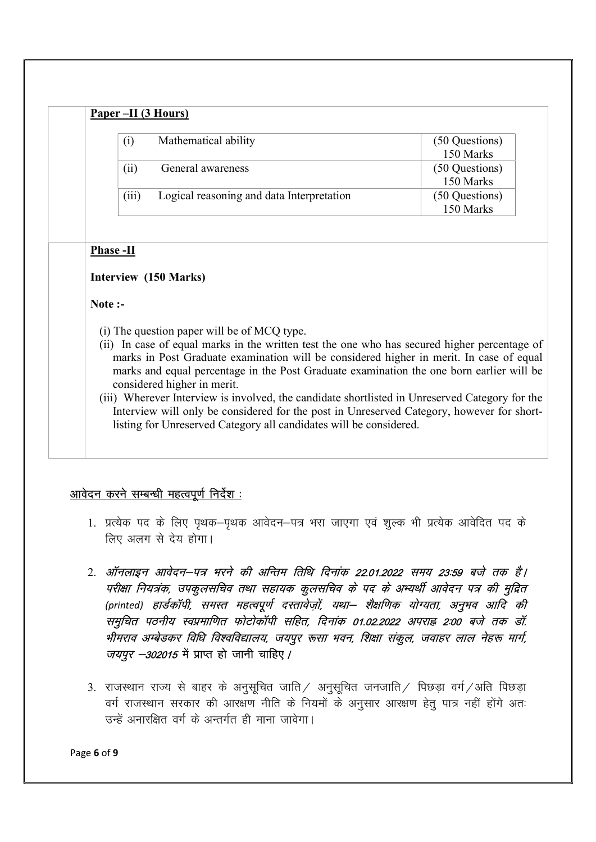|       | Paper –II (3 Hours)                       |                             |
|-------|-------------------------------------------|-----------------------------|
| (i)   | Mathematical ability                      | (50 Questions)<br>150 Marks |
| (11)  | General awareness                         | (50 Questions)<br>150 Marks |
| (iii) | Logical reasoning and data Interpretation | (50 Questions)<br>150 Marks |

#### Phase -II

#### Interview (150 Marks)

Note :-

- (i) The question paper will be of MCQ type.
- (ii) In case of equal marks in the written test the one who has secured higher percentage of marks in Post Graduate examination will be considered higher in merit. In case of equal marks and equal percentage in the Post Graduate examination the one born earlier will be considered higher in merit.
- (iii) Wherever Interview is involved, the candidate shortlisted in Unreserved Category for the Interview will only be considered for the post in Unreserved Category, however for shortlisting for Unreserved Category all candidates will be considered.

## आवेदन करने सम्बन्धी महत्वपूर्ण निर्देश :

- 1. प्रत्येक पद के लिए पथक–पथक आवेदन–पत्र भरा जाएगा एवं शल्क भी प्रत्येक आवेदित पद के लिए अलग से देय होगा।
- 2. ऑनलाइन आवेदन–पत्र भरने की अन्तिम तिथि दिनांक 22.01.2022 समय 23:59 बजे तक है। परीक्षा नियत्रंक, उपकुलसचिव तथा सहायक कुलसचिव के पद के अभ्यर्थी आवेदन पत्र की मुद्रित (printed) हार्डकॉपी, समस्त महत्वपूर्ण दस्तावेज़ों, यथा– शैक्षणिक योग्यता, अनुभव आदि की समुचित पठनीय स्वप्रमाणित फोटोकॉपी सहित, दिनांक 01.02.2022 अपराह 2:00 बजे तक डॉ. भीमराव अम्बेडकर विधि विश्वविद्यालय, जयपूर रूसा भवन, शिक्षा संकूल, जवाहर लाल नेहरू मार्ग, *जयपुर –302015* में प्राप्त हो जानी चाहिए /
- 3. राजस्थान राज्य से बाहर के अनुसूचित जाति / अनुसूचित जनजाति / पिछड़ा वर्ग / अति पिछड़ा वर्ग राजस्थान सरकार की आरक्षण नीति के नियमों के अनुसार आरक्षण हेतु पात्र नहीं होंगे अतः  $\vec{R}$  अनारक्षित वर्ग के अन्तर्गत ही माना जावेगा।

Page 6 of 9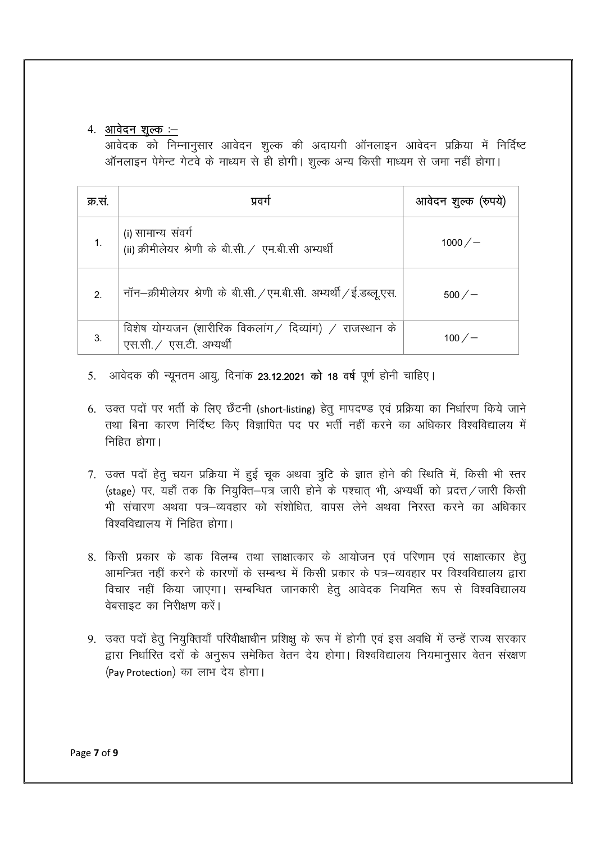## 4. आवेदन शुल्क :–

आवेदक को निम्नानुसार आवेदन शुल्क की अदायगी ऑनलाइन आवेदन प्रक्रिया में निर्दिष्ट ऑनलाइन पेमेन्ट गेटवे के माध्यम से ही होगी। शुल्क अन्य किसी माध्यम से जमा नहीं होगा।

| क्र.सं.               | प्रवग                                                                                | आवेदन शुल्क (रुपये) |
|-----------------------|--------------------------------------------------------------------------------------|---------------------|
|                       | (i) सामान्य संवर्ग<br>(ii) क्रीमीलेयर श्रेणी के बी.सी. / एम.बी.सी अभ्यर्थी           | $1000/-$            |
| $\mathcal{P}_{\cdot}$ | नॉन–क्रीमीलेयर श्रेणी के बी.सी. / एम.बी.सी. अभ्यर्थी / ई.डब्लू.एस.                   | $500 / -$           |
| 3.                    | विशेष योग्यजन (शारीरिक विकलांग / दिव्यांग) / राजस्थान के<br>एस.सी. / एस.टी. अभ्यर्थी | 100 ⁄ —             |

- 5. आवेदक की न्यूनतम आयू, दिनांक 23.12.2021 को 18 वर्ष पूर्ण होनी चाहिए।
- 6. उक्त पदों पर भर्ती के लिए छँटनी (short-listing) हेतु मापदण्ड एवं प्रक्रिया का निर्धारण किये जाने तथा बिना कारण निर्दिष्ट किए विज्ञापित पद पर भर्ती नहीं करने का अधिकार विश्वविद्यालय में निहित होगा।
- 7. उक्त पदों हेतू चयन प्रक्रिया में हुई चुक अथवा त्रूटि के ज्ञात होने की स्थिति में, किसी भी स्तर (stage) पर, यहाँ तक कि नियक्ति–पत्र जारी होने के पश्चात भी, अभ्यर्थी को प्रदत्त / जारी किसी भी संचारण अथवा पत्र–व्यवहार को संशोधित, वापस लेने अथवा निरस्त करने का अधिकार विश्वविद्यालय में निहित होगा।
- 8. किसी प्रकार के डाक विलम्ब तथा साक्षात्कार के आयोजन एवं परिणाम एवं साक्षात्कार हेत् आमन्त्रित नहीं करने के कारणों के सम्बन्ध में किसी प्रकार के पत्र—व्यवहार पर विश्वविद्यालय द्वारा विचार नहीं किया जाएगा। सम्बन्धित जानकारी हेतु आवेदक नियमित रूप से विश्वविद्यालय वेबसाइट का निरीक्षण करें।
- 9. उक्त पदों हेतू नियुक्तियाँ परिवीक्षाधीन प्रशिक्षू के रूप में होगी एवं इस अवधि में उन्हें राज्य सरकार द्वारा निर्धारित दरों के अनुरूप समेकित वेतन देय होगा। विश्वविद्यालय नियमानुसार वेतन संरक्षण (Pav Protection) का लाभ देय होगा।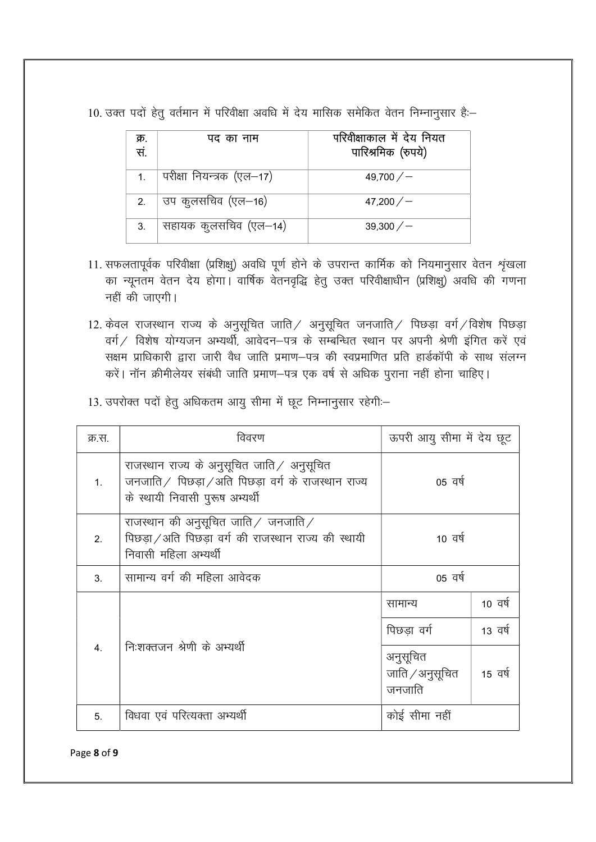10. उक्त पदों हेतू वर्तमान में परिवीक्षा अवधि में देय मासिक समेकित वेतन निम्नानूसार है:-

| क्र.<br>सं.    | पद का नाम                 | परिवीक्षाकाल में देय नियत<br>पारिश्रमिक (रुपये) |
|----------------|---------------------------|-------------------------------------------------|
| 1 <sub>1</sub> | परीक्षा नियन्त्रक (एल—17) | 49,700 $/$ $-$                                  |
| 2.             | उप कुलसचिव (एल–16)        | 47,200/                                         |
| 3.             | सहायक कुलसचिव (एल–14)     | 39,300/                                         |

- 11. सफलतापूर्वक परिवीक्षा (प्रशिक्षु) अवधि पूर्ण होने के उपरान्त कार्मिक को नियमानुसार वेतन श्रृंखला का न्यूनतम वेतन देय होगा। वार्षिक वेतनवृद्धि हेतू उक्त परिवीक्षाधीन (प्रशिक्षू) अवधि की गणना नहीं की जाएगी।
- 12. केवल राजस्थान राज्य के अनुसूचित जाति / अनुसूचित जनजाति / पिछड़ा वर्ग / विशेष पिछड़ा वर्ग / विशेष योग्यजन अभ्यर्थी, आवेदन-पत्र के सम्बन्धित स्थान पर अपनी श्रेणी इंगित करें एवं सक्षम प्राधिकारी द्वारा जारी वैध जाति प्रमाण–पत्र की स्वप्रमाणित प्रति हार्डकॉपी के साथ संलग्न करें। नॉन क्रीमीलेयर संबंधी जाति प्रमाण-पत्र एक वर्ष से अधिक पुराना नहीं होना चाहिए।
- 13. उपरोक्त पदों हेतू अधिकतम आयू सीमा में छूट निम्नानुसार रहेगी:-

| क्र.स.         | विवरण                                                                                                                                     | ऊपरी आयु सीमा में देय छूट             |         |
|----------------|-------------------------------------------------------------------------------------------------------------------------------------------|---------------------------------------|---------|
| 1 <sub>1</sub> | राजस्थान राज्य के अनुसूचित जाति $\angle$ अनुसूचित<br>जनजाति / पिछडा / अति पिछडा वर्ग के राजस्थान राज्य<br>के स्थायी निवासी पुरूष अभ्यर्थी | 05 वर्ष                               |         |
| 2 <sub>1</sub> | राजस्थान की अनुसूचित जाति $\angle$ जनजाति $\angle$<br>पिछड़ा / अति पिछड़ा वर्ग की राजस्थान राज्य की स्थायी<br>निवासी महिला अभ्यर्थी       | 10 वर्ष                               |         |
| 3 <sub>l</sub> | सामान्य वर्ग की महिला आवेदक                                                                                                               | 05 वर्ष                               |         |
|                |                                                                                                                                           | सामान्य                               | 10 वर्ष |
|                | निःशक्तजन श्रेणी के अभ्यर्थी                                                                                                              | पिछडा वर्ग                            | 13 वर्ष |
| 4 <sup>1</sup> |                                                                                                                                           | अनुसूचित<br>जाति / अनुसूचित<br>जनजाति | 15 वर्ष |
| 5.             | विधवा एवं परित्यक्ता अभ्यर्थी                                                                                                             | कोई सीमा नहीं                         |         |

Page 8 of 9